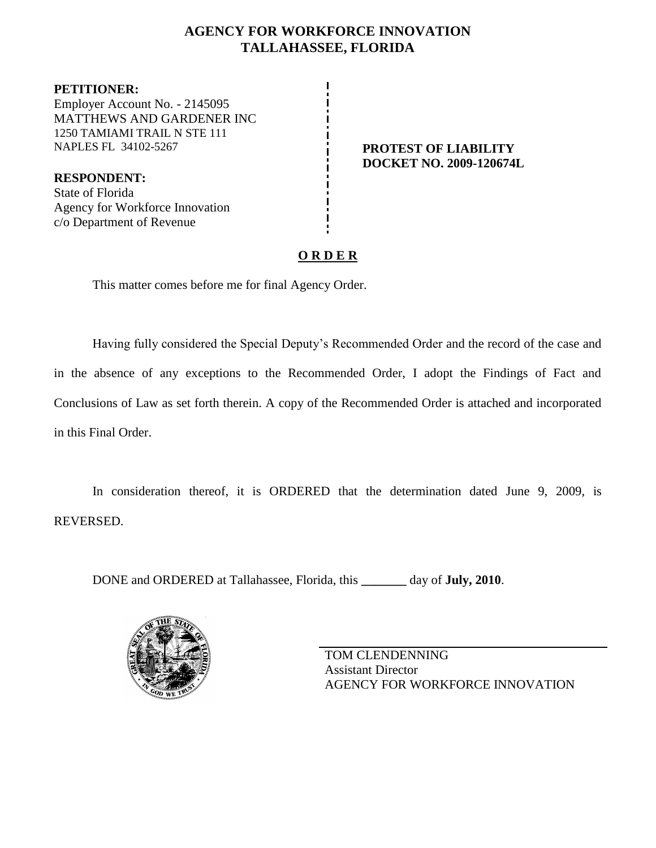## **AGENCY FOR WORKFORCE INNOVATION TALLAHASSEE, FLORIDA**

**PETITIONER:** Employer Account No. - 2145095 MATTHEWS AND GARDENER INC 1250 TAMIAMI TRAIL N STE 111 NAPLES FL 34102-5267 **PROTEST OF LIABILITY**

**RESPONDENT:** State of Florida Agency for Workforce Innovation c/o Department of Revenue

**DOCKET NO. 2009-120674L**

# **O R D E R**

This matter comes before me for final Agency Order.

Having fully considered the Special Deputy's Recommended Order and the record of the case and in the absence of any exceptions to the Recommended Order, I adopt the Findings of Fact and Conclusions of Law as set forth therein. A copy of the Recommended Order is attached and incorporated in this Final Order.

In consideration thereof, it is ORDERED that the determination dated June 9, 2009, is REVERSED.

DONE and ORDERED at Tallahassee, Florida, this **\_\_\_\_\_\_\_** day of **July, 2010**.



TOM CLENDENNING Assistant Director AGENCY FOR WORKFORCE INNOVATION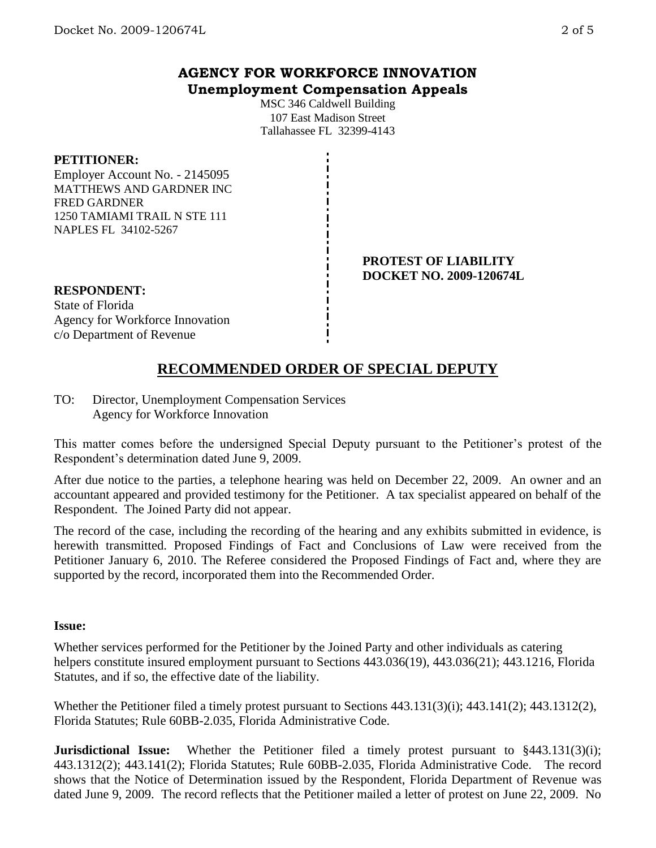## **AGENCY FOR WORKFORCE INNOVATION Unemployment Compensation Appeals**

MSC 346 Caldwell Building 107 East Madison Street Tallahassee FL 32399-4143

## **PETITIONER:**

Employer Account No. - 2145095 MATTHEWS AND GARDNER INC FRED GARDNER 1250 TAMIAMI TRAIL N STE 111 NAPLES FL 34102-5267

#### **PROTEST OF LIABILITY DOCKET NO. 2009-120674L**

## **RESPONDENT:**

State of Florida Agency for Workforce Innovation c/o Department of Revenue

# **RECOMMENDED ORDER OF SPECIAL DEPUTY**

TO: Director, Unemployment Compensation Services Agency for Workforce Innovation

This matter comes before the undersigned Special Deputy pursuant to the Petitioner's protest of the Respondent's determination dated June 9, 2009.

After due notice to the parties, a telephone hearing was held on December 22, 2009. An owner and an accountant appeared and provided testimony for the Petitioner. A tax specialist appeared on behalf of the Respondent. The Joined Party did not appear.

The record of the case, including the recording of the hearing and any exhibits submitted in evidence, is herewith transmitted. Proposed Findings of Fact and Conclusions of Law were received from the Petitioner January 6, 2010. The Referee considered the Proposed Findings of Fact and, where they are supported by the record, incorporated them into the Recommended Order.

## **Issue:**

Whether services performed for the Petitioner by the Joined Party and other individuals as catering helpers constitute insured employment pursuant to Sections 443.036(19), 443.036(21); 443.1216, Florida Statutes, and if so, the effective date of the liability.

Whether the Petitioner filed a timely protest pursuant to Sections 443.131(3)(i); 443.141(2); 443.1312(2), Florida Statutes; Rule 60BB-2.035, Florida Administrative Code.

**Jurisdictional Issue:** Whether the Petitioner filed a timely protest pursuant to §443.131(3)(i); 443.1312(2); 443.141(2); Florida Statutes; Rule 60BB-2.035, Florida Administrative Code. The record shows that the Notice of Determination issued by the Respondent, Florida Department of Revenue was dated June 9, 2009. The record reflects that the Petitioner mailed a letter of protest on June 22, 2009. No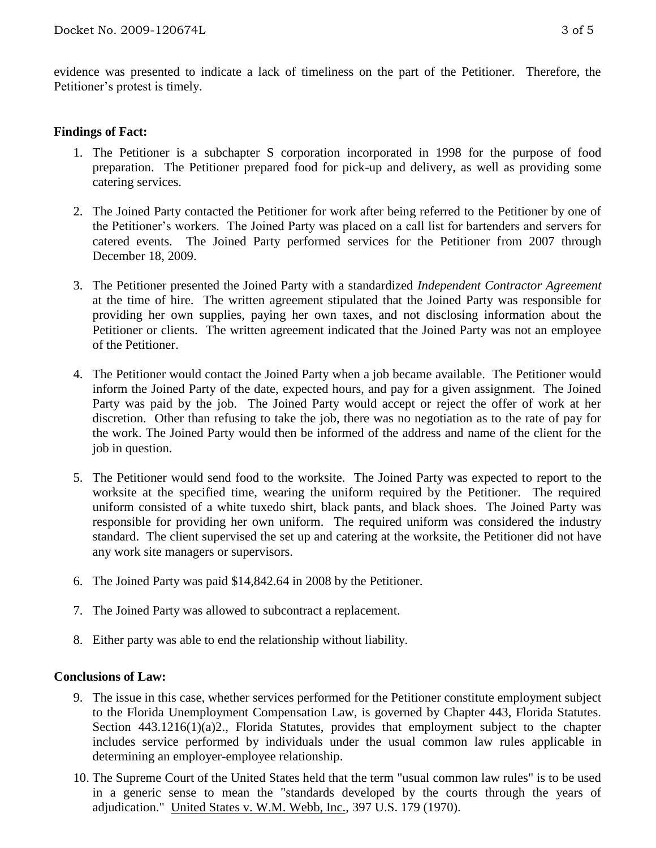evidence was presented to indicate a lack of timeliness on the part of the Petitioner. Therefore, the Petitioner's protest is timely.

## **Findings of Fact:**

- 1. The Petitioner is a subchapter S corporation incorporated in 1998 for the purpose of food preparation. The Petitioner prepared food for pick-up and delivery, as well as providing some catering services.
- 2. The Joined Party contacted the Petitioner for work after being referred to the Petitioner by one of the Petitioner's workers. The Joined Party was placed on a call list for bartenders and servers for catered events. The Joined Party performed services for the Petitioner from 2007 through December 18, 2009.
- 3. The Petitioner presented the Joined Party with a standardized *Independent Contractor Agreement* at the time of hire. The written agreement stipulated that the Joined Party was responsible for providing her own supplies, paying her own taxes, and not disclosing information about the Petitioner or clients. The written agreement indicated that the Joined Party was not an employee of the Petitioner.
- 4. The Petitioner would contact the Joined Party when a job became available. The Petitioner would inform the Joined Party of the date, expected hours, and pay for a given assignment. The Joined Party was paid by the job. The Joined Party would accept or reject the offer of work at her discretion. Other than refusing to take the job, there was no negotiation as to the rate of pay for the work. The Joined Party would then be informed of the address and name of the client for the job in question.
- 5. The Petitioner would send food to the worksite. The Joined Party was expected to report to the worksite at the specified time, wearing the uniform required by the Petitioner. The required uniform consisted of a white tuxedo shirt, black pants, and black shoes. The Joined Party was responsible for providing her own uniform. The required uniform was considered the industry standard. The client supervised the set up and catering at the worksite, the Petitioner did not have any work site managers or supervisors.
- 6. The Joined Party was paid \$14,842.64 in 2008 by the Petitioner.
- 7. The Joined Party was allowed to subcontract a replacement.
- 8. Either party was able to end the relationship without liability.

#### **Conclusions of Law:**

- 9. The issue in this case, whether services performed for the Petitioner constitute employment subject to the Florida Unemployment Compensation Law, is governed by Chapter 443, Florida Statutes. Section 443.1216(1)(a)2., Florida Statutes, provides that employment subject to the chapter includes service performed by individuals under the usual common law rules applicable in determining an employer-employee relationship.
- 10. The Supreme Court of the United States held that the term "usual common law rules" is to be used in a generic sense to mean the "standards developed by the courts through the years of adjudication." United States v. W.M. Webb, Inc., 397 U.S. 179 (1970).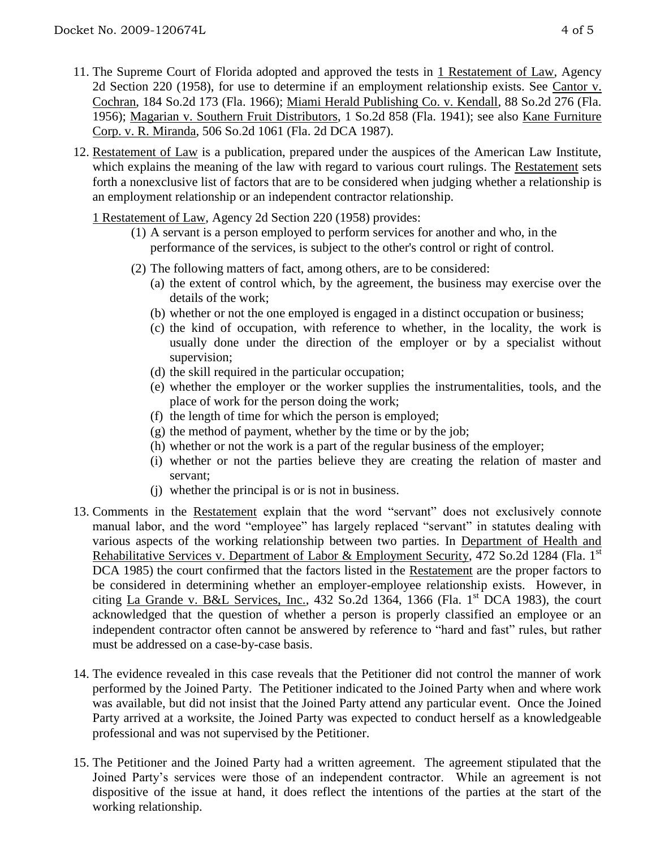- 11. The Supreme Court of Florida adopted and approved the tests in 1 Restatement of Law, Agency 2d Section 220 (1958), for use to determine if an employment relationship exists. See Cantor v. Cochran, 184 So.2d 173 (Fla. 1966); Miami Herald Publishing Co. v. Kendall, 88 So.2d 276 (Fla. 1956); Magarian v. Southern Fruit Distributors, 1 So.2d 858 (Fla. 1941); see also Kane Furniture Corp. v. R. Miranda, 506 So.2d 1061 (Fla. 2d DCA 1987).
- 12. Restatement of Law is a publication, prepared under the auspices of the American Law Institute, which explains the meaning of the law with regard to various court rulings. The Restatement sets forth a nonexclusive list of factors that are to be considered when judging whether a relationship is an employment relationship or an independent contractor relationship.

1 Restatement of Law, Agency 2d Section 220 (1958) provides:

- (1) A servant is a person employed to perform services for another and who, in the performance of the services, is subject to the other's control or right of control.
- (2) The following matters of fact, among others, are to be considered:
	- (a) the extent of control which, by the agreement, the business may exercise over the details of the work;
	- (b) whether or not the one employed is engaged in a distinct occupation or business;
	- (c) the kind of occupation, with reference to whether, in the locality, the work is usually done under the direction of the employer or by a specialist without supervision;
	- (d) the skill required in the particular occupation;
	- (e) whether the employer or the worker supplies the instrumentalities, tools, and the place of work for the person doing the work;
	- (f) the length of time for which the person is employed;
	- $(g)$  the method of payment, whether by the time or by the job;
	- (h) whether or not the work is a part of the regular business of the employer;
	- (i) whether or not the parties believe they are creating the relation of master and servant;
	- (j) whether the principal is or is not in business.
- 13. Comments in the Restatement explain that the word "servant" does not exclusively connote manual labor, and the word "employee" has largely replaced "servant" in statutes dealing with various aspects of the working relationship between two parties. In Department of Health and Rehabilitative Services v. Department of Labor & Employment Security, 472 So.2d 1284 (Fla. 1<sup>st</sup>) DCA 1985) the court confirmed that the factors listed in the Restatement are the proper factors to be considered in determining whether an employer-employee relationship exists. However, in citing La Grande v. B&L Services, Inc.,  $432$  So.2d  $1364$ ,  $1366$  (Fla. 1<sup>st</sup> DCA 1983), the court acknowledged that the question of whether a person is properly classified an employee or an independent contractor often cannot be answered by reference to "hard and fast" rules, but rather must be addressed on a case-by-case basis.
- 14. The evidence revealed in this case reveals that the Petitioner did not control the manner of work performed by the Joined Party. The Petitioner indicated to the Joined Party when and where work was available, but did not insist that the Joined Party attend any particular event. Once the Joined Party arrived at a worksite, the Joined Party was expected to conduct herself as a knowledgeable professional and was not supervised by the Petitioner.
- 15. The Petitioner and the Joined Party had a written agreement. The agreement stipulated that the Joined Party's services were those of an independent contractor. While an agreement is not dispositive of the issue at hand, it does reflect the intentions of the parties at the start of the working relationship.